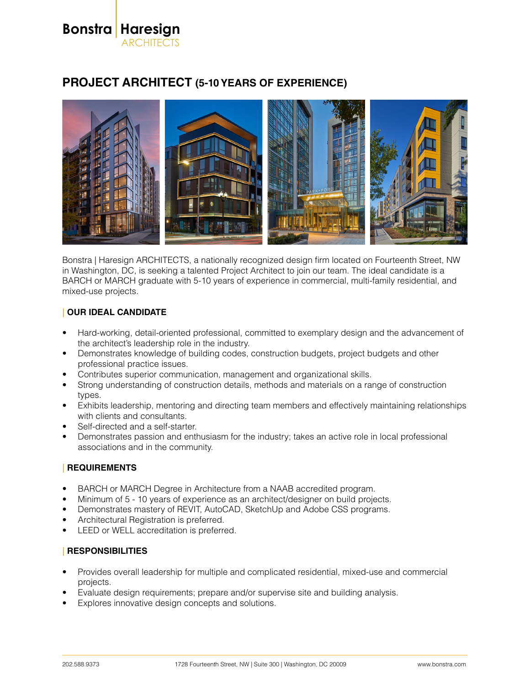**Bonstra Haresign** ARCHITECTS

# **PROJECT ARCHITECT (5-10 YEARS OF EXPERIENCE)**



Bonstra | Haresign ARCHITECTS, a nationally recognized design firm located on Fourteenth Street, NW in Washington, DC, is seeking a talented Project Architect to join our team. The ideal candidate is a BARCH or MARCH graduate with 5-10 years of experience in commercial, multi-family residential, and mixed-use projects.

## **| OUR IDEAL CANDIDATE**

- Hard-working, detail-oriented professional, committed to exemplary design and the advancement of the architect's leadership role in the industry.
- Demonstrates knowledge of building codes, construction budgets, project budgets and other professional practice issues.
- Contributes superior communication, management and organizational skills.
- Strong understanding of construction details, methods and materials on a range of construction types.
- Exhibits leadership, mentoring and directing team members and effectively maintaining relationships with clients and consultants.
- Self-directed and a self-starter.
- Demonstrates passion and enthusiasm for the industry; takes an active role in local professional associations and in the community.

### **| REQUIREMENTS**

- BARCH or MARCH Degree in Architecture from a NAAB accredited program.
- Minimum of 5 10 years of experience as an architect/designer on build projects.
- Demonstrates mastery of REVIT, AutoCAD, SketchUp and Adobe CSS programs.
- Architectural Registration is preferred.
- LEED or WELL accreditation is preferred.

### **| RESPONSIBILITIES**

- Provides overall leadership for multiple and complicated residential, mixed-use and commercial projects.
- Evaluate design requirements; prepare and/or supervise site and building analysis.
- Explores innovative design concepts and solutions.